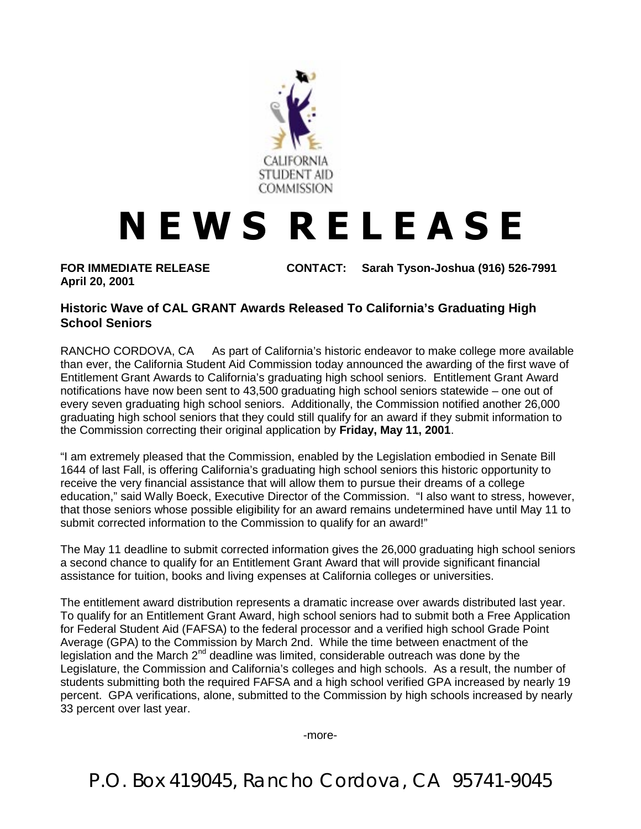

## **NEWS RELEASE**

**April 20, 2001**

**FOR IMMEDIATE RELEASE CONTACT: Sarah Tyson-Joshua (916) 526-7991**

## **Historic Wave of CAL GRANT Awards Released To California's Graduating High School Seniors**

RANCHO CORDOVA, CA — As part of California's historic endeavor to make college more available than ever, the California Student Aid Commission today announced the awarding of the first wave of Entitlement Grant Awards to California's graduating high school seniors. Entitlement Grant Award notifications have now been sent to 43,500 graduating high school seniors statewide – one out of every seven graduating high school seniors. Additionally, the Commission notified another 26,000 graduating high school seniors that they could still qualify for an award if they submit information to the Commission correcting their original application by **Friday, May 11, 2001**.

"I am extremely pleased that the Commission, enabled by the Legislation embodied in Senate Bill 1644 of last Fall, is offering California's graduating high school seniors this historic opportunity to receive the very financial assistance that will allow them to pursue their dreams of a college education," said Wally Boeck, Executive Director of the Commission. "I also want to stress, however, that those seniors whose possible eligibility for an award remains undetermined have until May 11 to submit corrected information to the Commission to qualify for an award!"

The May 11 deadline to submit corrected information gives the 26,000 graduating high school seniors a second chance to qualify for an Entitlement Grant Award that will provide significant financial assistance for tuition, books and living expenses at California colleges or universities.

The entitlement award distribution represents a dramatic increase over awards distributed last year. To qualify for an Entitlement Grant Award, high school seniors had to submit both a Free Application for Federal Student Aid (FAFSA) to the federal processor and a verified high school Grade Point Average (GPA) to the Commission by March 2nd. While the time between enactment of the legislation and the March  $2<sup>nd</sup>$  deadline was limited, considerable outreach was done by the Legislature, the Commission and California's colleges and high schools. As a result, the number of students submitting both the required FAFSA and a high school verified GPA increased by nearly 19 percent. GPA verifications, alone, submitted to the Commission by high schools increased by nearly 33 percent over last year.

-more-

P.O. Box 419045, Rancho Cordova, CA 95741-9045